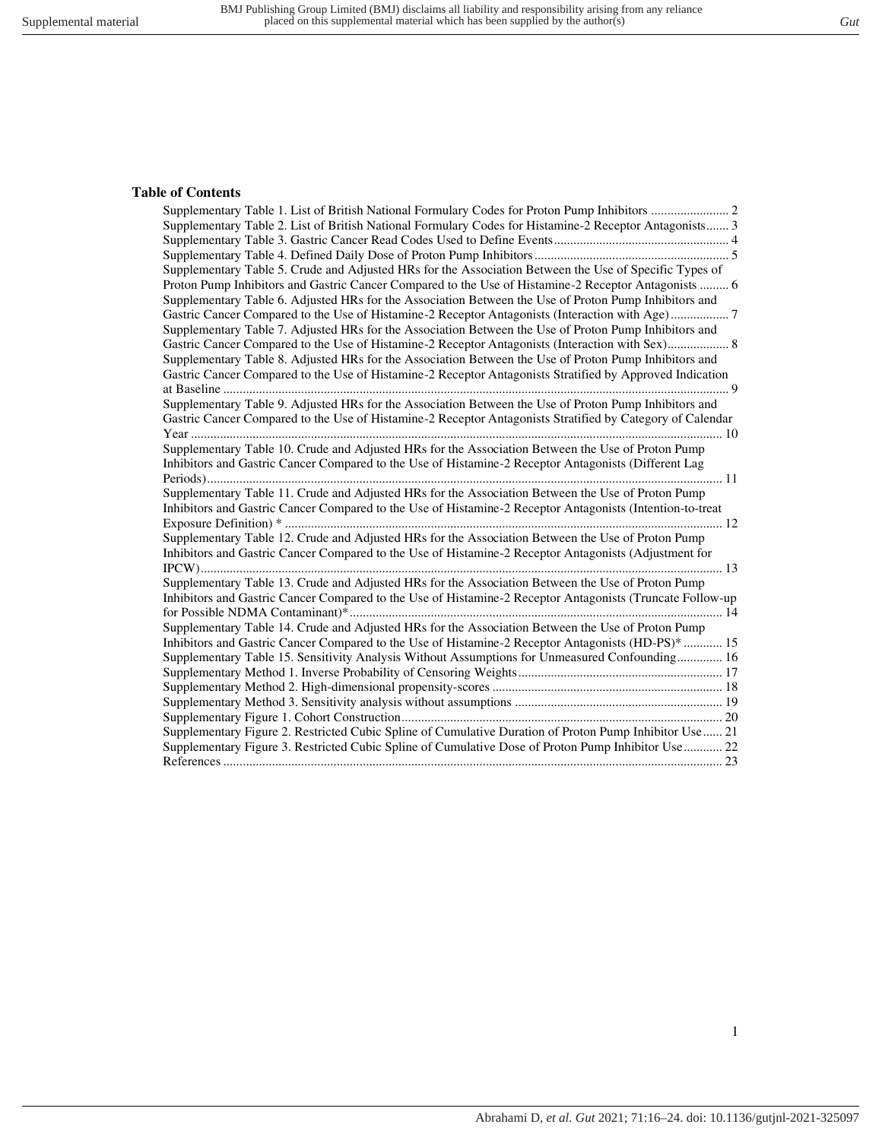### **Table of Contents**

| Supplementary Table 2. List of British National Formulary Codes for Histamine-2 Receptor Antagonists 3    |
|-----------------------------------------------------------------------------------------------------------|
|                                                                                                           |
|                                                                                                           |
| Supplementary Table 5. Crude and Adjusted HRs for the Association Between the Use of Specific Types of    |
| Proton Pump Inhibitors and Gastric Cancer Compared to the Use of Histamine-2 Receptor Antagonists  6      |
| Supplementary Table 6. Adjusted HRs for the Association Between the Use of Proton Pump Inhibitors and     |
| Gastric Cancer Compared to the Use of Histamine-2 Receptor Antagonists (Interaction with Age)7            |
| Supplementary Table 7. Adjusted HRs for the Association Between the Use of Proton Pump Inhibitors and     |
|                                                                                                           |
| Supplementary Table 8. Adjusted HRs for the Association Between the Use of Proton Pump Inhibitors and     |
| Gastric Cancer Compared to the Use of Histamine-2 Receptor Antagonists Stratified by Approved Indication  |
|                                                                                                           |
| Supplementary Table 9. Adjusted HRs for the Association Between the Use of Proton Pump Inhibitors and     |
| Gastric Cancer Compared to the Use of Histamine-2 Receptor Antagonists Stratified by Category of Calendar |
|                                                                                                           |
| Supplementary Table 10. Crude and Adjusted HRs for the Association Between the Use of Proton Pump         |
| Inhibitors and Gastric Cancer Compared to the Use of Histamine-2 Receptor Antagonists (Different Lag      |
|                                                                                                           |
| Supplementary Table 11. Crude and Adjusted HRs for the Association Between the Use of Proton Pump         |
| Inhibitors and Gastric Cancer Compared to the Use of Histamine-2 Receptor Antagonists (Intention-to-treat |
|                                                                                                           |
| Supplementary Table 12. Crude and Adjusted HRs for the Association Between the Use of Proton Pump         |
| Inhibitors and Gastric Cancer Compared to the Use of Histamine-2 Receptor Antagonists (Adjustment for     |
|                                                                                                           |
| Supplementary Table 13. Crude and Adjusted HRs for the Association Between the Use of Proton Pump         |
| Inhibitors and Gastric Cancer Compared to the Use of Histamine-2 Receptor Antagonists (Truncate Follow-up |
|                                                                                                           |
| Supplementary Table 14. Crude and Adjusted HRs for the Association Between the Use of Proton Pump         |
| Inhibitors and Gastric Cancer Compared to the Use of Histamine-2 Receptor Antagonists (HD-PS)*  15        |
| Supplementary Table 15. Sensitivity Analysis Without Assumptions for Unmeasured Confounding 16            |
|                                                                                                           |
|                                                                                                           |
|                                                                                                           |
|                                                                                                           |
| Supplementary Figure 2. Restricted Cubic Spline of Cumulative Duration of Proton Pump Inhibitor Use  21   |
| Supplementary Figure 3. Restricted Cubic Spline of Cumulative Dose of Proton Pump Inhibitor Use  22       |
|                                                                                                           |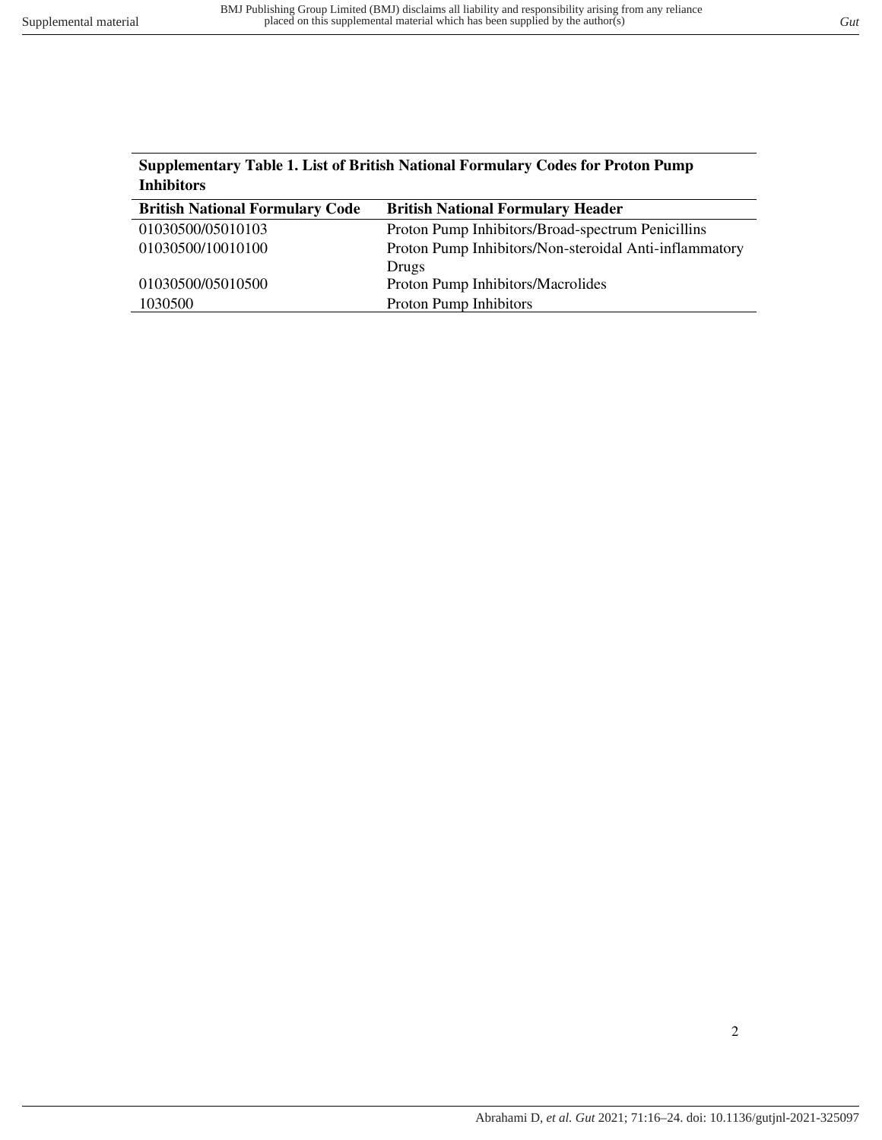<span id="page-1-0"></span>

|                                                                                         | <b>Supplementary Table 1. List of British National Formulary Codes for Proton Pump</b>     |
|-----------------------------------------------------------------------------------------|--------------------------------------------------------------------------------------------|
| <b>Inhibitors</b>                                                                       |                                                                                            |
| $\mathbf{D}$ , $\mathbf{M}$ , $\mathbf{H}$ , $\mathbf{D}$ , $\mathbf{C}$ , $\mathbf{A}$ | $\mathbf{D}$ $\mathbf{M}$ $\mathbf{M}$ $\mathbf{I}$ $\mathbf{D}$ $\mathbf{I}$ $\mathbf{I}$ |

| <b>British National Formulary Header</b>               |
|--------------------------------------------------------|
| Proton Pump Inhibitors/Broad-spectrum Penicillins      |
| Proton Pump Inhibitors/Non-steroidal Anti-inflammatory |
| Drugs                                                  |
| Proton Pump Inhibitors/Macrolides                      |
| <b>Proton Pump Inhibitors</b>                          |
|                                                        |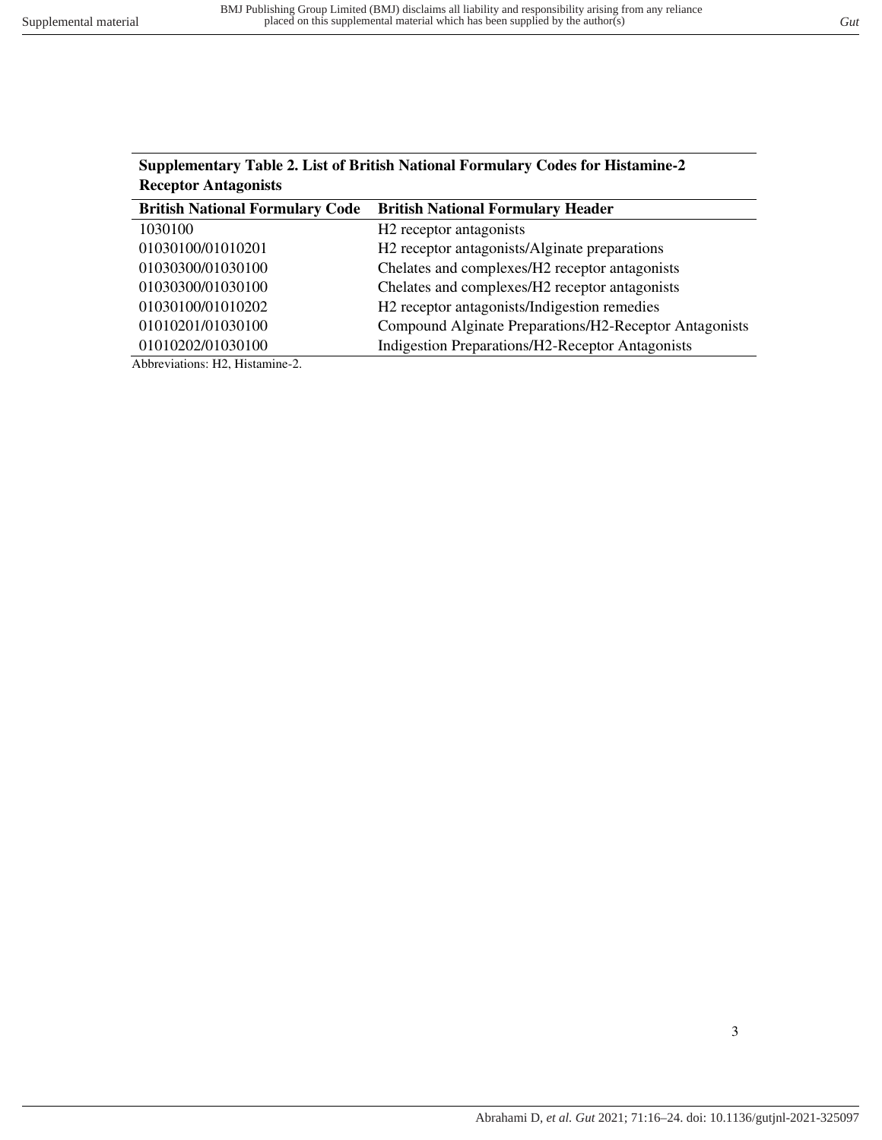| $\sigma$                                                  |
|-----------------------------------------------------------|
| <b>British National Formulary Header</b>                  |
| H <sub>2</sub> receptor antagonists                       |
| H <sub>2</sub> receptor antagonists/Alginate preparations |
| Chelates and complexes/H2 receptor antagonists            |
| Chelates and complexes/H2 receptor antagonists            |
| H <sub>2</sub> receptor antagonists/Indigestion remedies  |
| Compound Alginate Preparations/H2-Receptor Antagonists    |
| Indigestion Preparations/H2-Receptor Antagonists          |
|                                                           |

<span id="page-2-0"></span>**Supplementary Table 2. List of British National Formulary Codes for Histamine-2** 

Abbreviations: H2, Histamine-2.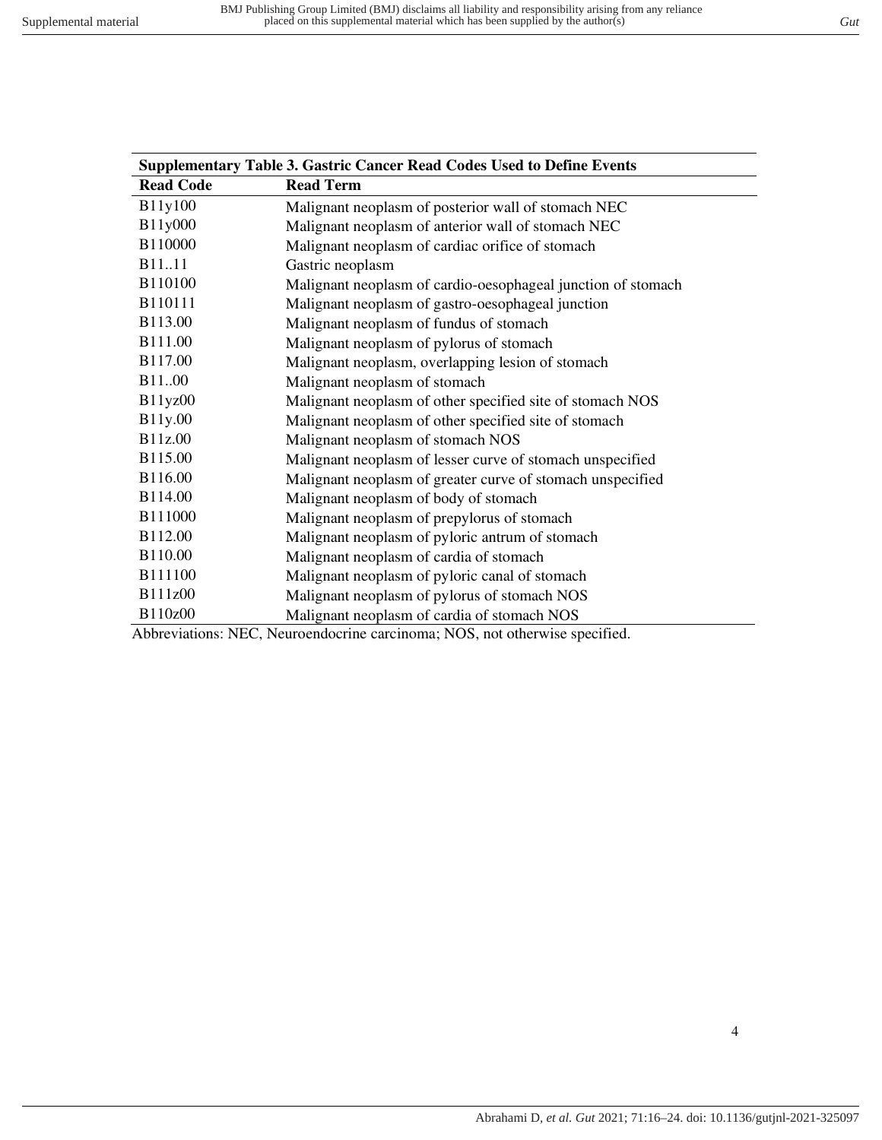<span id="page-3-0"></span>

| <b>Supplementary Table 3. Gastric Cancer Read Codes Used to Define Events</b> |                                                              |  |  |  |
|-------------------------------------------------------------------------------|--------------------------------------------------------------|--|--|--|
| <b>Read Code</b>                                                              | <b>Read Term</b>                                             |  |  |  |
| B11y100                                                                       | Malignant neoplasm of posterior wall of stomach NEC          |  |  |  |
| B11y000                                                                       | Malignant neoplasm of anterior wall of stomach NEC           |  |  |  |
| B110000                                                                       | Malignant neoplasm of cardiac orifice of stomach             |  |  |  |
| <b>B</b> 11.11                                                                | Gastric neoplasm                                             |  |  |  |
| B110100                                                                       | Malignant neoplasm of cardio-oesophageal junction of stomach |  |  |  |
| B110111                                                                       | Malignant neoplasm of gastro-oesophageal junction            |  |  |  |
| B113.00                                                                       | Malignant neoplasm of fundus of stomach                      |  |  |  |
| B111.00                                                                       | Malignant neoplasm of pylorus of stomach                     |  |  |  |
| <b>B117.00</b>                                                                | Malignant neoplasm, overlapping lesion of stomach            |  |  |  |
| <b>B11.00</b>                                                                 | Malignant neoplasm of stomach                                |  |  |  |
| B11yz00                                                                       | Malignant neoplasm of other specified site of stomach NOS    |  |  |  |
| B11y.00                                                                       | Malignant neoplasm of other specified site of stomach        |  |  |  |
| B11z.00                                                                       | Malignant neoplasm of stomach NOS                            |  |  |  |
| B115.00                                                                       | Malignant neoplasm of lesser curve of stomach unspecified    |  |  |  |
| B116.00                                                                       | Malignant neoplasm of greater curve of stomach unspecified   |  |  |  |
| B114.00                                                                       | Malignant neoplasm of body of stomach                        |  |  |  |
| B111000                                                                       | Malignant neoplasm of prepylorus of stomach                  |  |  |  |
| B112.00                                                                       | Malignant neoplasm of pyloric antrum of stomach              |  |  |  |
| B110.00                                                                       | Malignant neoplasm of cardia of stomach                      |  |  |  |
| B111100                                                                       | Malignant neoplasm of pyloric canal of stomach               |  |  |  |
| B111z00                                                                       | Malignant neoplasm of pylorus of stomach NOS                 |  |  |  |
| B110z00                                                                       | Malignant neoplasm of cardia of stomach NOS                  |  |  |  |

Abbreviations: NEC, Neuroendocrine carcinoma; NOS, not otherwise specified.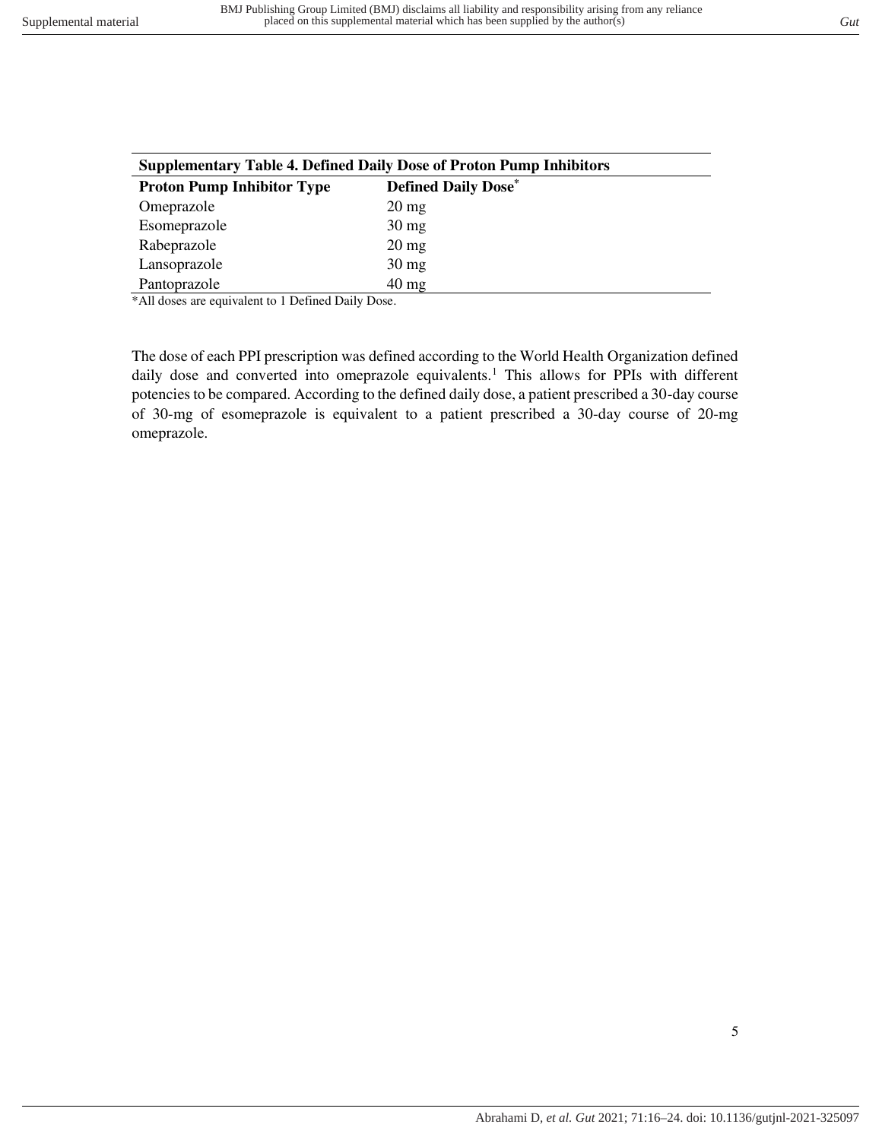<span id="page-4-0"></span>

| <b>Supplementary Table 4. Defined Daily Dose of Proton Pump Inhibitors</b> |                            |  |  |  |
|----------------------------------------------------------------------------|----------------------------|--|--|--|
| <b>Proton Pump Inhibitor Type</b>                                          | <b>Defined Daily Dose*</b> |  |  |  |
| Omeprazole                                                                 | $20 \,\mathrm{mg}$         |  |  |  |
| Esomeprazole                                                               | $30 \text{ mg}$            |  |  |  |
| Rabeprazole                                                                | $20 \text{ mg}$            |  |  |  |
| Lansoprazole                                                               | $30 \text{ mg}$            |  |  |  |
| Pantoprazole                                                               | $40 \text{ mg}$            |  |  |  |

\*All doses are equivalent to 1 Defined Daily Dose.

The dose of each PPI prescription was defined according to the World Health Organization defined daily dose and converted into omeprazole equivalents.<sup>1</sup> This allows for PPIs with different potencies to be compared. According to the defined daily dose, a patient prescribed a 30-day course of 30-mg of esomeprazole is equivalent to a patient prescribed a 30-day course of 20-mg omeprazole.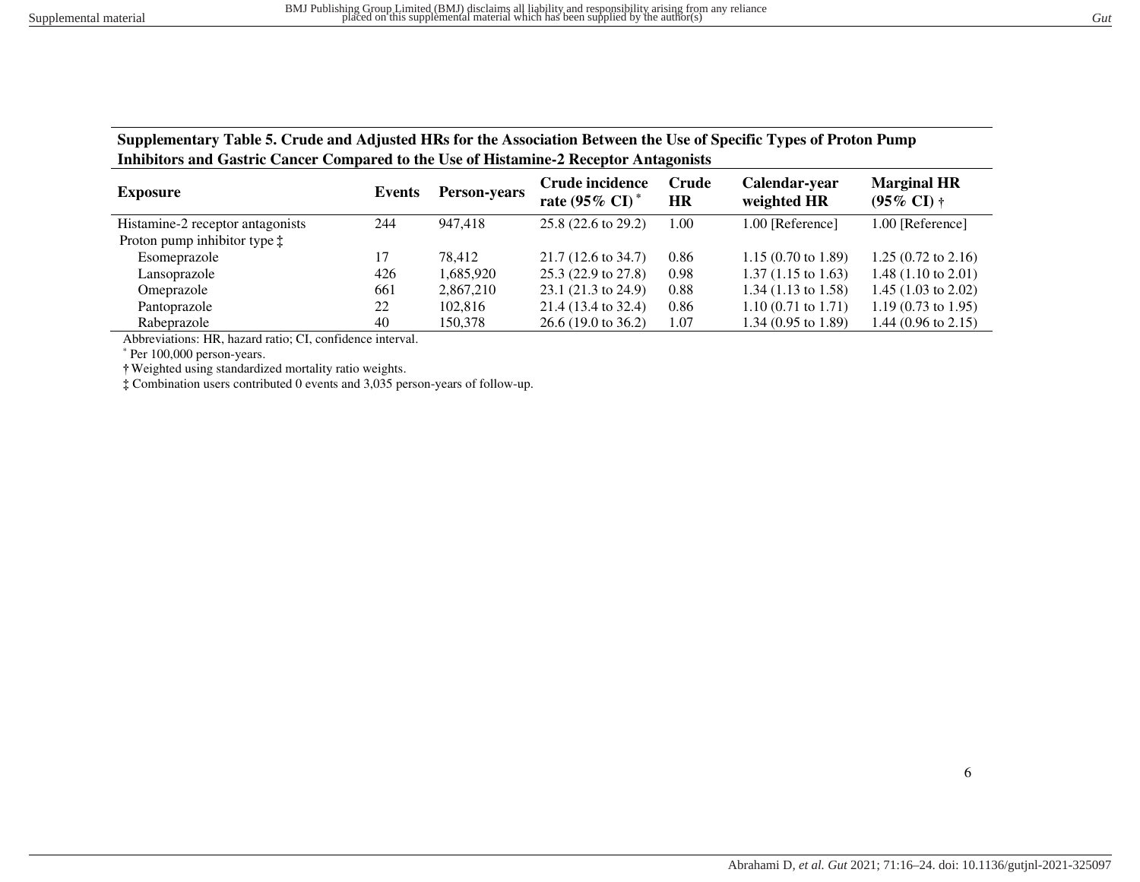**Supplementary Table 5. Crude and Adjusted HRs for the Association Between the Use of Specific Types of Proton Pump Inhibitors and Gastric Cancer Compared to the Use of Histamine-2 Receptor Antagonists**

| <b>Exposure</b>                       | Events | Person-years | Crude incidence<br>rate $(95\% \text{ CI})^*$ | Crude<br><b>HR</b> | Calendar-year<br>weighted HR   | <b>Marginal HR</b><br>$(95\% \text{ CI})$ † |
|---------------------------------------|--------|--------------|-----------------------------------------------|--------------------|--------------------------------|---------------------------------------------|
| Histamine-2 receptor antagonists      | 244    | 947.418      | $25.8(22.6 \text{ to } 29.2)$                 | 1.00               | 1.00 [Reference]               | 1.00 [Reference]                            |
| Proton pump inhibitor type $\ddagger$ |        |              |                                               |                    |                                |                                             |
| Esomeprazole                          | 17     | 78.412       | $21.7(12.6 \text{ to } 34.7)$                 | 0.86               | $1.15(0.70 \text{ to } 1.89)$  | $1.25(0.72 \text{ to } 2.16)$               |
| Lansoprazole                          | 426    | 1,685,920    | $25.3(22.9 \text{ to } 27.8)$                 | 0.98               | $1.37(1.15 \text{ to } 1.63)$  | 1.48 $(1.10 \text{ to } 2.01)$              |
| Omeprazole                            | 661    | 2,867,210    | $23.1(21.3 \text{ to } 24.9)$                 | 0.88               | $1.34(1.13 \text{ to } 1.58)$  | 1.45 $(1.03 \text{ to } 2.02)$              |
| Pantoprazole                          | 22     | 102,816      | $21.4(13.4 \text{ to } 32.4)$                 | 0.86               | $1.10(0.71 \text{ to } 1.71)$  | 1.19 $(0.73 \text{ to } 1.95)$              |
| Rabeprazole                           | 40     | 150,378      | $26.6(19.0 \text{ to } 36.2)$                 | 1.07               | 1.34 $(0.95 \text{ to } 1.89)$ | 1.44 $(0.96 \text{ to } 2.15)$              |

Abbreviations: HR, hazard ratio; CI, confidence interval.

\* Per 100,000 person-years.

<span id="page-5-0"></span>**†**Weighted using standardized mortality ratio weights.

**‡** Combination users contributed 0 events and 3,035 person-years of follow-up.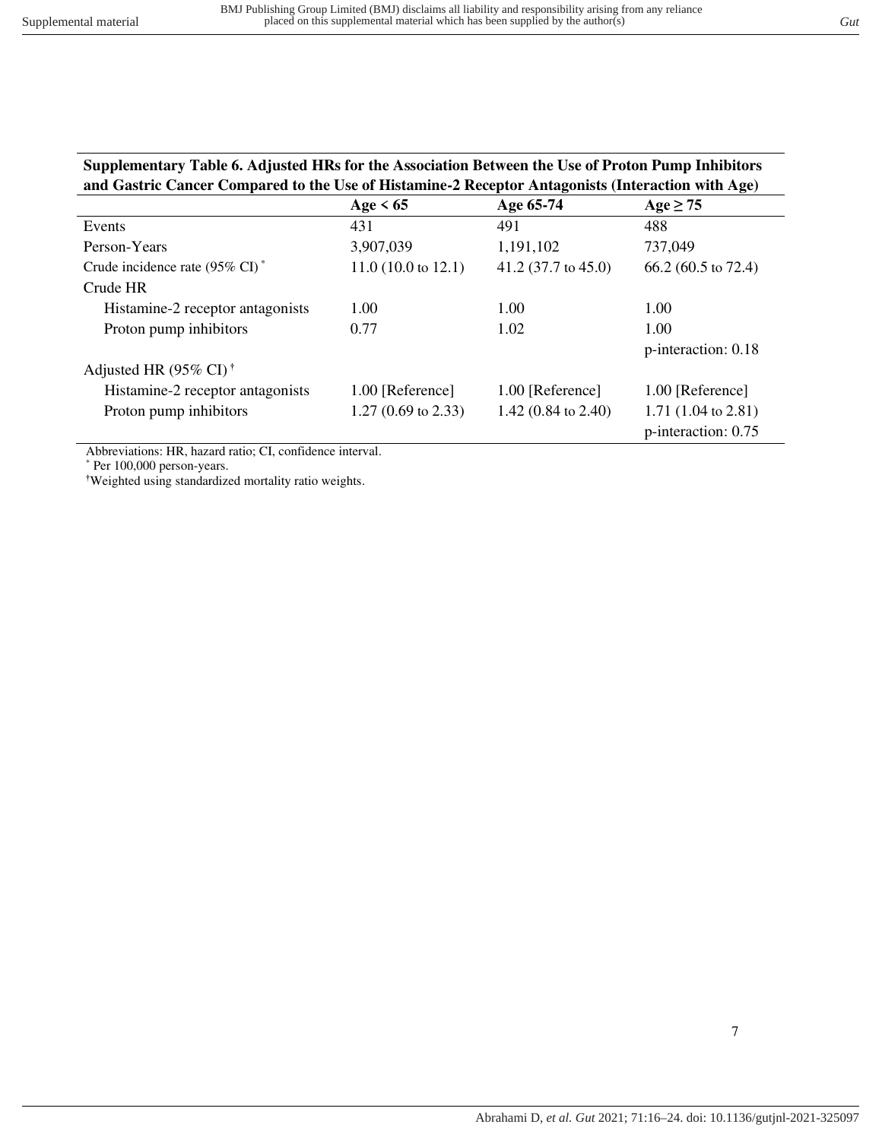<span id="page-6-0"></span>

| Supplementary Table 6. Adjusted HRs for the Association Between the Use of Proton Pump Inhibitors |
|---------------------------------------------------------------------------------------------------|
| and Gastric Cancer Compared to the Use of Histamine-2 Receptor Antagonists (Interaction with Age) |

|                                            |                               |                                | 75 T                           |
|--------------------------------------------|-------------------------------|--------------------------------|--------------------------------|
|                                            | Age $\leq 65$                 | Age 65-74                      | $Age \geq 75$                  |
| Events                                     | 431                           | 491                            | 488                            |
| Person-Years                               | 3,907,039                     | 1,191,102                      | 737,049                        |
| Crude incidence rate $(95\% \text{ CI})^*$ | $11.0(10.0 \text{ to } 12.1)$ | 41.2 $(37.7 \text{ to } 45.0)$ | $66.2(60.5 \text{ to } 72.4)$  |
| Crude HR                                   |                               |                                |                                |
| Histamine-2 receptor antagonists           | 1.00                          | 1.00                           | 1.00                           |
| Proton pump inhibitors                     | 0.77                          | 1.02                           | 1.00                           |
|                                            |                               |                                | p-interaction: 0.18            |
| Adjusted HR (95% CI) <sup>†</sup>          |                               |                                |                                |
| Histamine-2 receptor antagonists           | 1.00 [Reference]              | 1.00 [Reference]               | 1.00 [Reference]               |
| Proton pump inhibitors                     | $1.27(0.69 \text{ to } 2.33)$ | 1.42 $(0.84 \text{ to } 2.40)$ | 1.71 $(1.04 \text{ to } 2.81)$ |
|                                            |                               |                                | p-interaction: 0.75            |

Abbreviations: HR, hazard ratio; CI, confidence interval.

\* Per 100,000 person-years.

**†**Weighted using standardized mortality ratio weights.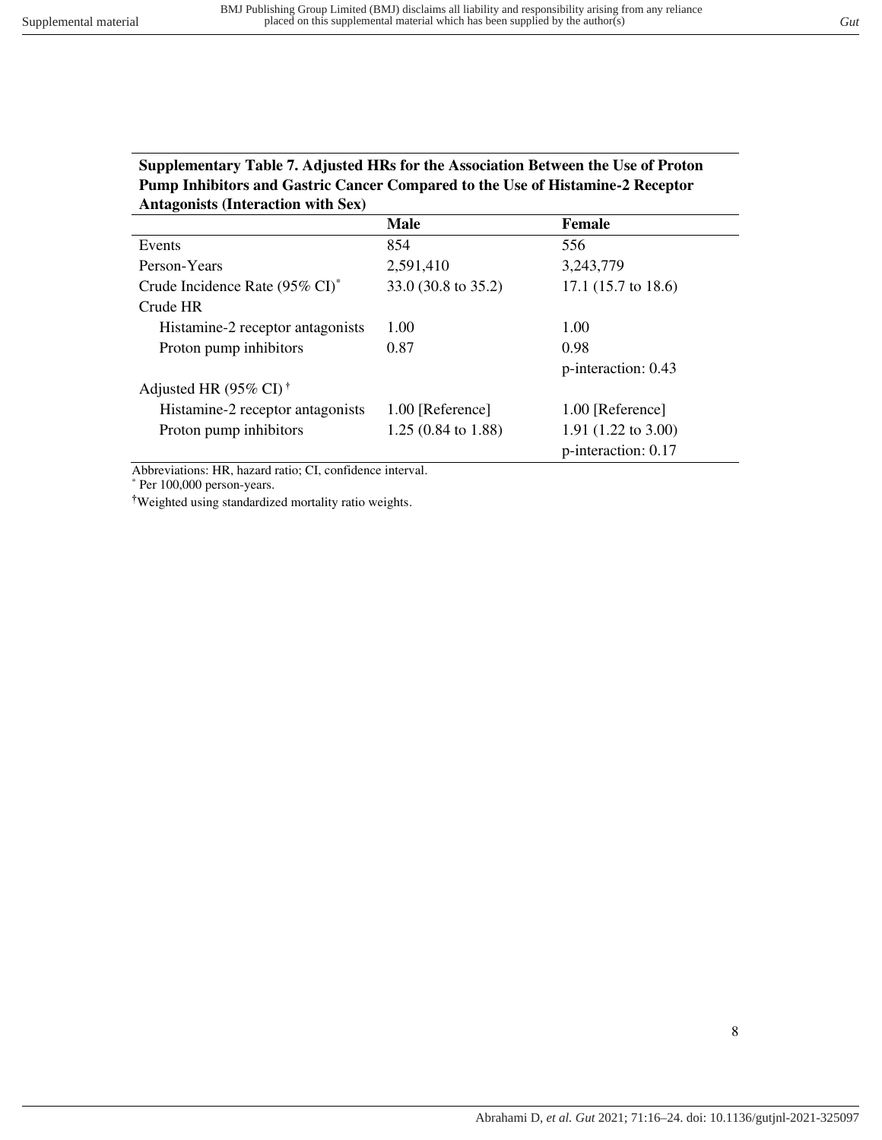## <span id="page-7-0"></span>**Supplementary Table 7. Adjusted HRs for the Association Between the Use of Proton Pump Inhibitors and Gastric Cancer Compared to the Use of Histamine-2 Receptor Antagonists (Interaction with Sex)**

|                                            | <b>Male</b>                   | Female                         |
|--------------------------------------------|-------------------------------|--------------------------------|
| Events                                     | 854                           | 556                            |
| Person-Years                               | 2,591,410                     | 3,243,779                      |
| Crude Incidence Rate (95% CI) <sup>*</sup> | 33.0 (30.8 to 35.2)           | 17.1 $(15.7 \text{ to } 18.6)$ |
| Crude HR                                   |                               |                                |
| Histamine-2 receptor antagonists           | 1.00                          | 1.00                           |
| Proton pump inhibitors                     | 0.87                          | 0.98                           |
|                                            |                               | p-interaction: 0.43            |
| Adjusted HR $(95\% \text{ CI})^{\dagger}$  |                               |                                |
| Histamine-2 receptor antagonists           | 1.00 [Reference]              | 1.00 [Reference]               |
| Proton pump inhibitors                     | $1.25(0.84 \text{ to } 1.88)$ | 1.91 $(1.22 \text{ to } 3.00)$ |
|                                            |                               | p-interaction: 0.17            |

Abbreviations: HR, hazard ratio; CI, confidence interval.

\* Per 100,000 person-years.

**†**Weighted using standardized mortality ratio weights.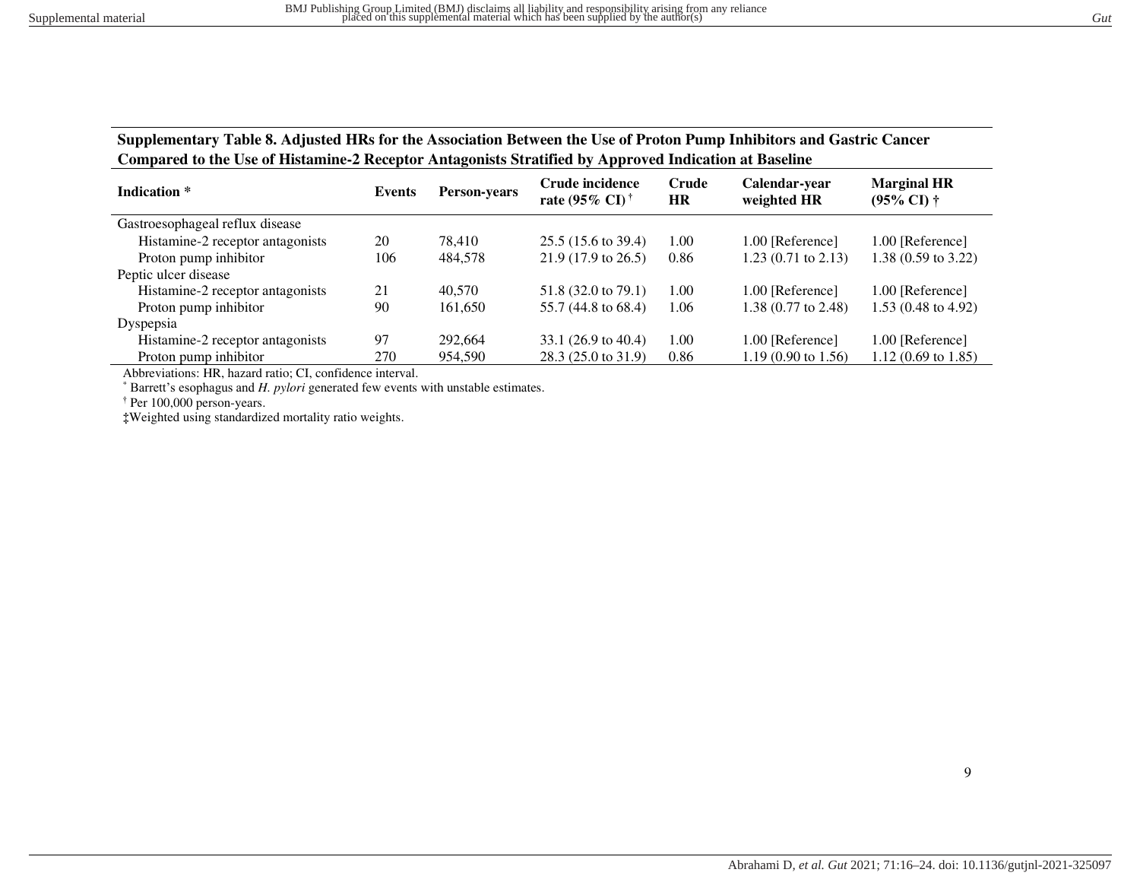**Supplementary Table 8. Adjusted HRs for the Association Between the Use of Proton Pump Inhibitors and Gastric Cancer Compared to the Use of Histamine-2 Receptor Antagonists Stratified by Approved Indication at Baseline** 

| <b>Indication</b> *              | Events | <b>Person-years</b> | Crude incidence<br>rate (95% CI) <sup>†</sup> | Crude<br><b>HR</b> | Calendar-year<br>weighted HR   | <b>Marginal HR</b><br>$(95\% \text{ C}I) \dagger$ |
|----------------------------------|--------|---------------------|-----------------------------------------------|--------------------|--------------------------------|---------------------------------------------------|
| Gastroesophageal reflux disease  |        |                     |                                               |                    |                                |                                                   |
| Histamine-2 receptor antagonists | 20     | 78.410              | $25.5(15.6 \text{ to } 39.4)$                 | 1.00               | 1.00 [Reference]               | 1.00 [Reference]                                  |
| Proton pump inhibitor            | 106    | 484,578             | $21.9(17.9 \text{ to } 26.5)$                 | 0.86               | $1.23$ (0.71 to 2.13)          | 1.38 $(0.59 \text{ to } 3.22)$                    |
| Peptic ulcer disease             |        |                     |                                               |                    |                                |                                                   |
| Histamine-2 receptor antagonists | 21     | 40,570              | $51.8$ (32.0 to 79.1)                         | 1.00               | 1.00 [Reference]               | 1.00 [Reference]                                  |
| Proton pump inhibitor            | 90     | 161.650             | 55.7 (44.8 to 68.4)                           | 1.06               | $1.38(0.77 \text{ to } 2.48)$  | 1.53 $(0.48 \text{ to } 4.92)$                    |
| Dyspepsia                        |        |                     |                                               |                    |                                |                                                   |
| Histamine-2 receptor antagonists | 97     | 292,664             | 33.1 $(26.9 \text{ to } 40.4)$                | 1.00               | 1.00 [Reference]               | 1.00 [Reference]                                  |
| Proton pump inhibitor            | 270    | 954,590             | $28.3(25.0 \text{ to } 31.9)$                 | 0.86               | 1.19 $(0.90 \text{ to } 1.56)$ | $1.12(0.69 \text{ to } 1.85)$                     |

<span id="page-8-0"></span>Abbreviations: HR, hazard ratio; CI, confidence interval.

\* Barrett's esophagus and *H. pylori* generated few events with unstable estimates.

† Per 100,000 person-years.

**‡**Weighted using standardized mortality ratio weights.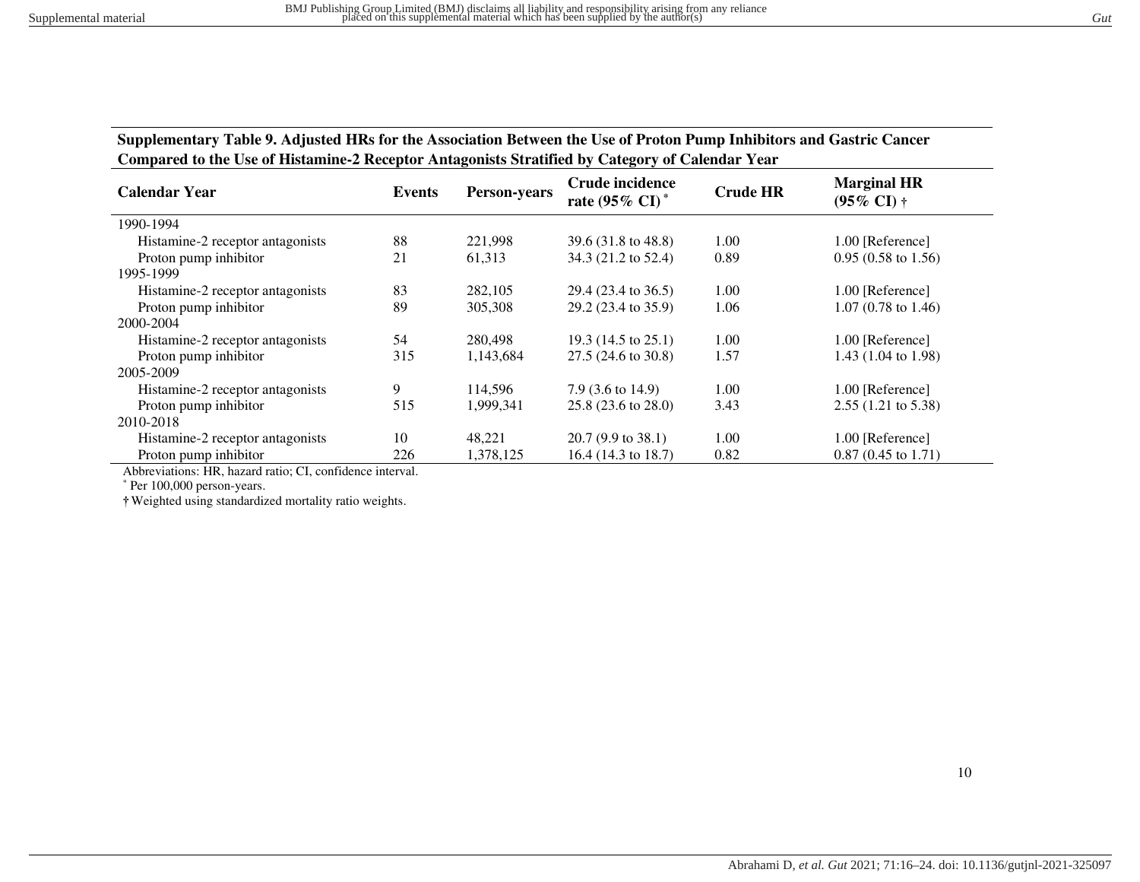**Supplementary Table 9. Adjusted HRs for the Association Between the Use of Proton Pump Inhibitors and Gastric Cancer Compared to the Use of Histamine-2 Receptor Antagonists Stratified by Category of Calendar Year** 

| <b>Calendar Year</b>                  | Events | Person-years | Crude incidence<br>rate $(95\% \text{ CI})^*$ | <b>Crude HR</b> | <b>Marginal HR</b><br>$(95\% \text{ CI})$ † |
|---------------------------------------|--------|--------------|-----------------------------------------------|-----------------|---------------------------------------------|
| 1990-1994                             |        |              |                                               |                 |                                             |
| Histamine-2 receptor antagonists      | 88     | 221,998      | 39.6 (31.8 to 48.8)                           | 1.00            | 1.00 [Reference]                            |
| Proton pump inhibitor                 | 21     | 61,313       | 34.3 (21.2 to 52.4)                           | 0.89            | $0.95(0.58 \text{ to } 1.56)$               |
| 1995-1999                             |        |              |                                               |                 |                                             |
| Histamine-2 receptor antagonists      | 83     | 282,105      | 29.4 (23.4 to 36.5)                           | 1.00            | 1.00 [Reference]                            |
| Proton pump inhibitor                 | 89     | 305,308      | 29.2 (23.4 to 35.9)                           | 1.06            | $1.07(0.78 \text{ to } 1.46)$               |
| 2000-2004                             |        |              |                                               |                 |                                             |
| Histamine-2 receptor antagonists      | 54     | 280,498      | 19.3 $(14.5 \text{ to } 25.1)$                | 1.00            | 1.00 [Reference]                            |
| Proton pump inhibitor                 | 315    | 1,143,684    | $27.5(24.6 \text{ to } 30.8)$                 | 1.57            | 1.43 $(1.04 \text{ to } 1.98)$              |
| 2005-2009                             |        |              |                                               |                 |                                             |
| Histamine-2 receptor antagonists      | 9      | 114,596      | 7.9 $(3.6 \text{ to } 14.9)$                  | 1.00            | 1.00 [Reference]                            |
| Proton pump inhibitor                 | 515    | 1,999,341    | $25.8(23.6 \text{ to } 28.0)$                 | 3.43            | $2.55(1.21 \text{ to } 5.38)$               |
| 2010-2018                             |        |              |                                               |                 |                                             |
| Histamine-2 receptor antagonists      | 10     | 48,221       | $20.7(9.9 \text{ to } 38.1)$                  | 1.00            | 1.00 [Reference]                            |
| Proton pump inhibitor<br>$\mathbf{r}$ | 226    | 1,378,125    | 16.4 (14.3 to 18.7)                           | 0.82            | $0.87(0.45 \text{ to } 1.71)$               |

<span id="page-9-0"></span>Abbreviations: HR, hazard ratio; CI, confidence interval.

\* Per 100,000 person-years.

**†**Weighted using standardized mortality ratio weights.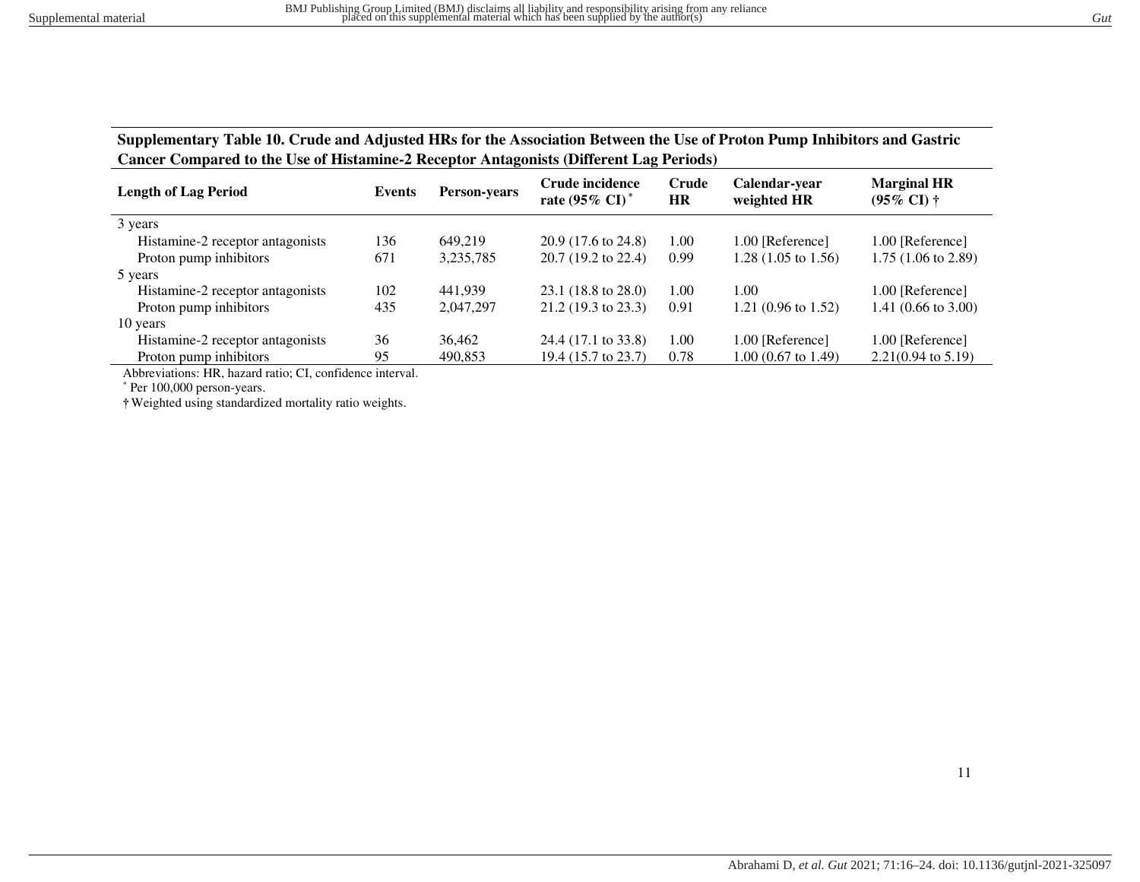**Supplementary Table 10. Crude and Adjusted HRs for the Association Between the Use of Proton Pump Inhibitors and Gastric Cancer Compared to the Use of Histamine-2 Receptor Antagonists (Different Lag Periods)**

| <b>Length of Lag Period</b>            | Events | <b>Person-years</b> | Crude incidence<br>rate $(95\% \text{ CI})^*$ | Crude<br><b>HR</b> | Calendar-year<br>weighted HR   | <b>Marginal HR</b><br>$(95\% \text{ CI}) \dagger$ |
|----------------------------------------|--------|---------------------|-----------------------------------------------|--------------------|--------------------------------|---------------------------------------------------|
| 3 years                                |        |                     |                                               |                    |                                |                                                   |
| Histamine-2 receptor antagonists       | 136    | 649.219             | $20.9(17.6 \text{ to } 24.8)$                 | 1.00               | 1.00 [Reference]               | 1.00 [Reference]                                  |
| Proton pump inhibitors                 | 671    | 3,235,785           | $20.7(19.2 \text{ to } 22.4)$                 | 0.99               | 1.28 $(1.05 \text{ to } 1.56)$ | $1.75(1.06 \text{ to } 2.89)$                     |
| 5 years                                |        |                     |                                               |                    |                                |                                                   |
| Histamine-2 receptor antagonists       | 102    | 441.939             | $23.1(18.8 \text{ to } 28.0)$                 | 1.00               | 1.00                           | 1.00 [Reference]                                  |
| Proton pump inhibitors<br>435          |        | 2.047.297           | $21.2(19.3 \text{ to } 23.3)$                 | 0.91               | 1.21 (0.96 to 1.52)            | 1.41 $(0.66 \text{ to } 3.00)$                    |
| 10 years                               |        |                     |                                               |                    |                                |                                                   |
| 36<br>Histamine-2 receptor antagonists |        | 36,462              | 24.4 (17.1 to 33.8)                           | 1.00               | 1.00 [Reference]               | 1.00 [Reference]                                  |
| Proton pump inhibitors                 | 95     | 490,853             | 19.4 (15.7 to 23.7)                           | 0.78               | $1.00$ (0.67 to 1.49)          | $2.21(0.94 \text{ to } 5.19)$                     |

<span id="page-10-0"></span>Abbreviations: HR, hazard ratio; CI, confidence interval.

\* Per 100,000 person-years.

**†**Weighted using standardized mortality ratio weights.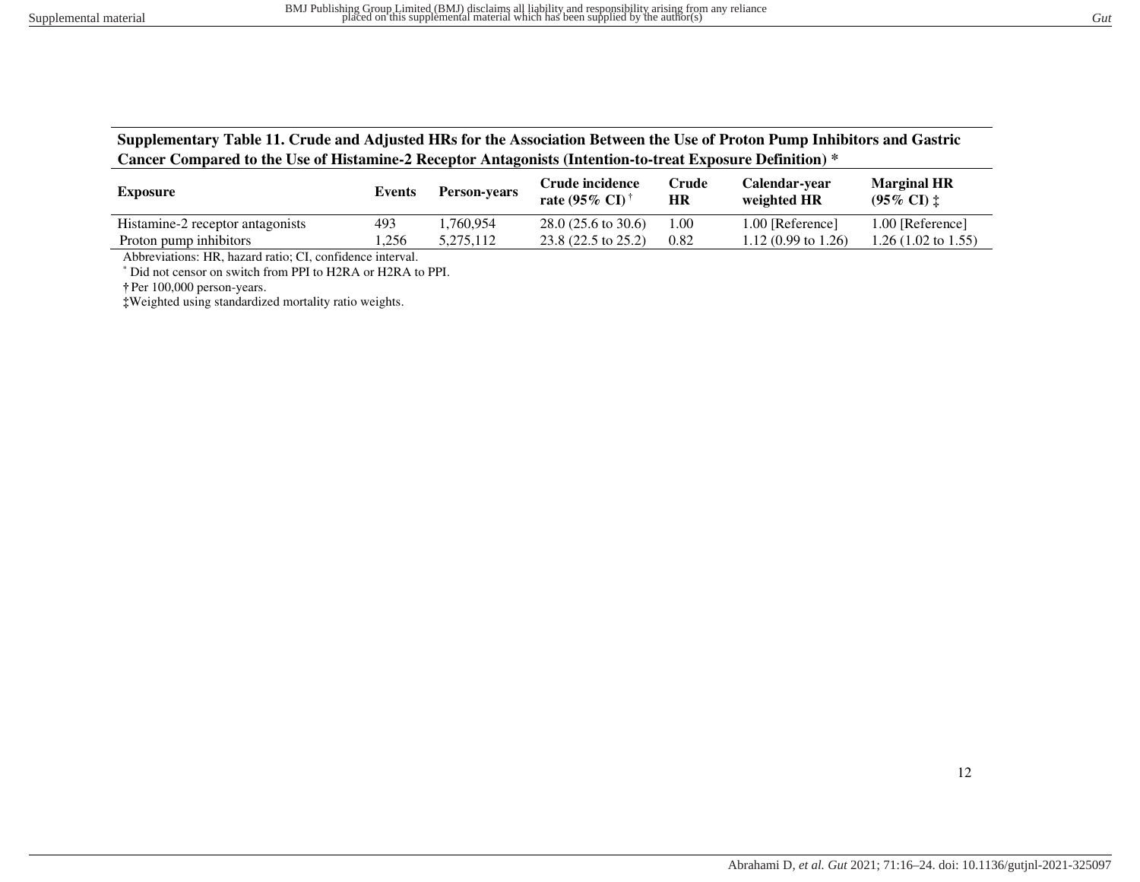| Supplementary Table 11. Crude and Adjusted HRs for the Association Between the Use of Proton Pump Inhibitors and Gastric |
|--------------------------------------------------------------------------------------------------------------------------|
| Cancer Compared to the Use of Histamine-2 Receptor Antagonists (Intention-to-treat Exposure Definition) *                |

| <b>Exposure</b>                  | Events | Person-years | Crude incidence<br>rate $(95\% \text{ CI})^{\dagger}$ | Crude<br>HR | Calendar-year<br>weighted HR   | <b>Marginal HR</b><br>$(95\% \text{ CI})$ $\ddagger$ |
|----------------------------------|--------|--------------|-------------------------------------------------------|-------------|--------------------------------|------------------------------------------------------|
| Histamine-2 receptor antagonists | 493    | ۔54,760,954  | $28.0(25.6 \text{ to } 30.6)$                         | 1.00        | 1.00 [Reference]               | 1.00 [Reference]                                     |
| Proton pump inhibitors           | .256   | 5.275.112    | $23.8(22.5 \text{ to } 25.2)$                         | 0.82        | 1.12 $(0.99 \text{ to } 1.26)$ | 1.26 (1.02 to 1.55)                                  |

Abbreviations: HR, hazard ratio; CI, confidence interval.

\* Did not censor on switch from PPI to H2RA or H2RA to PPI.

**†** Per 100,000 person-years.

<span id="page-11-0"></span>**‡**Weighted using standardized mortality ratio weights.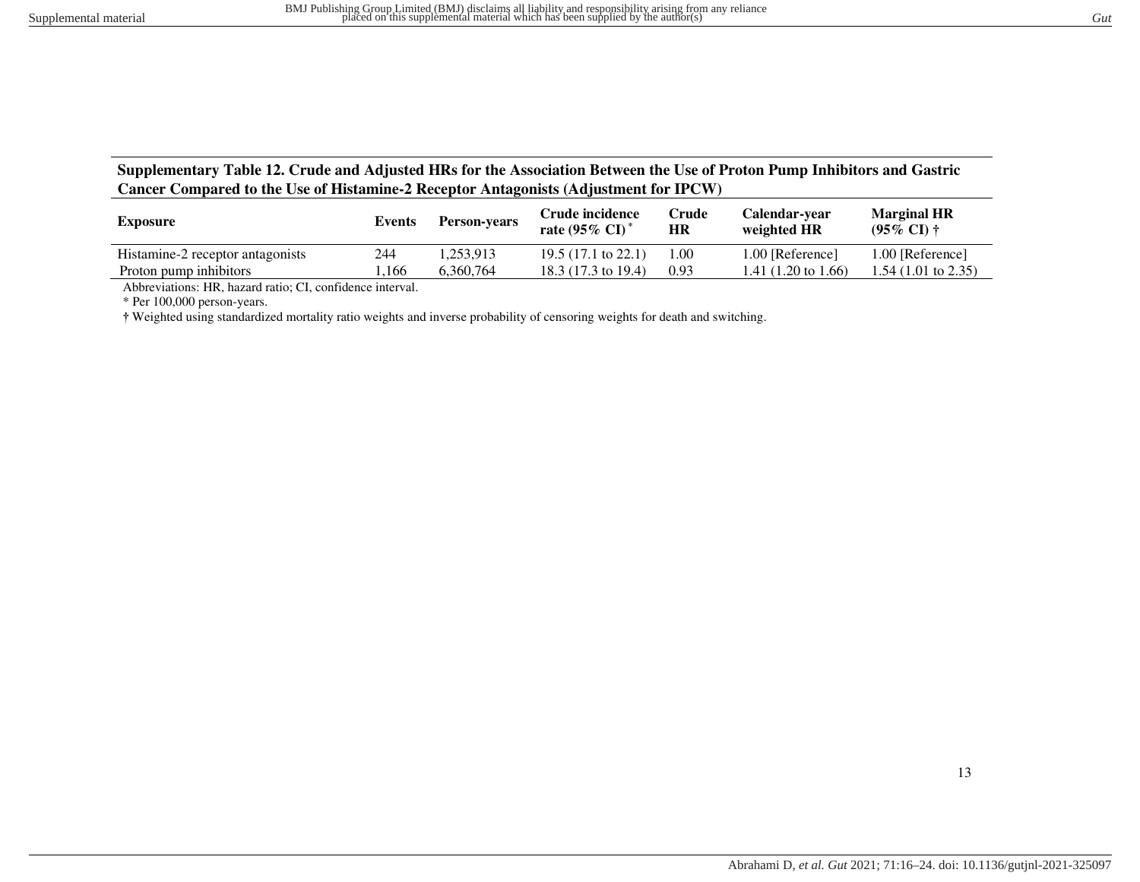## **Supplementary Table 12. Crude and Adjusted HRs for the Association Between the Use of Proton Pump Inhibitors and Gastric Cancer Compared to the Use of Histamine-2 Receptor Antagonists (Adjustment for IPCW)**

| <b>Exposure</b>                  | Events | <b>Person-vears</b> | Crude incidence<br>rate $(95\% \text{ CI})^*$ | Crude<br>HR | Calendar-year<br>weighted HR   | <b>Marginal HR</b><br>$(95\% \text{ CI})$ † |
|----------------------------------|--------|---------------------|-----------------------------------------------|-------------|--------------------------------|---------------------------------------------|
| Histamine-2 receptor antagonists | 244    | 1,253,913           | 19.5 $(17.1 \text{ to } 22.1)$                | 0.00        | 1.00 [Reference]               | 1.00 [Reference]                            |
| Proton pump inhibitors           | .166   | 6.360.764           | 18.3 (17.3 to 19.4)                           | 0.93        | 1.41 $(1.20 \text{ to } 1.66)$ | 1.54 $(1.01 \text{ to } 2.35)$              |
| $-$<br>$-1$<br>$- - -$           |        |                     |                                               |             |                                |                                             |

Abbreviations: HR, hazard ratio; CI, confidence interval.

\* Per 100,000 person-years.

<span id="page-12-0"></span>**†** Weighted using standardized mortality ratio weights and inverse probability of censoring weights for death and switching.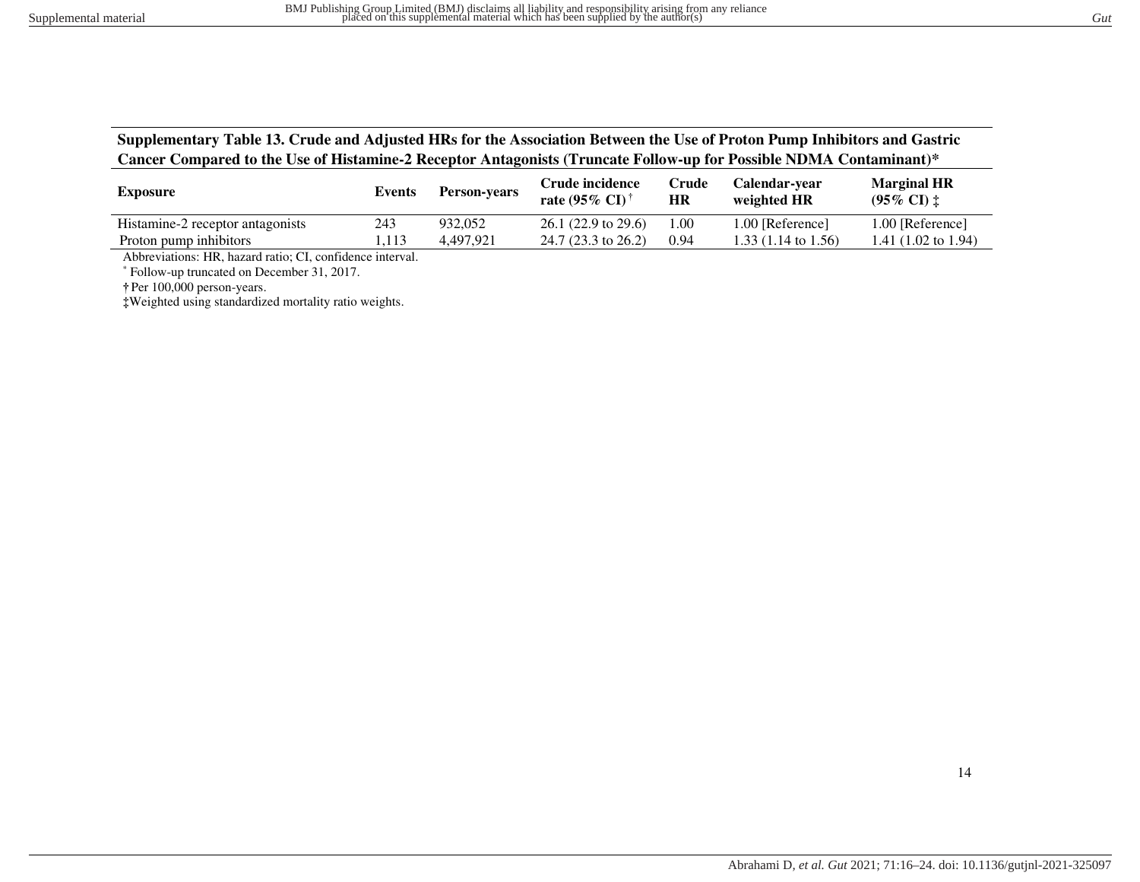## **Supplementary Table 13. Crude and Adjusted HRs for the Association Between the Use of Proton Pump Inhibitors and Gastric Cancer Compared to the Use of Histamine-2 Receptor Antagonists (Truncate Follow-up for Possible NDMA Contaminant)\***

|           | <b>HR</b>                          |                                                                | $(95\% \text{ CI}) \pm$     |
|-----------|------------------------------------|----------------------------------------------------------------|-----------------------------|
| 932,052   | 1.00                               | 1.00 [Reference]                                               | 1.00 [Reference]            |
| 4.497.921 | 0.94                               | 1.33 $(1.14 \text{ to } 1.56)$                                 | 1.41 (1.02 to 1.94)         |
|           | rate $(95\% \text{ CI})^{\dagger}$ | $26.1(22.9 \text{ to } 29.6)$<br>$24.7(23.3 \text{ to } 26.2)$ | Person-years<br>weighted HR |

Abbreviations: HR, hazard ratio; CI, confidence interval.

\* Follow-up truncated on December 31, 2017.

**†** Per 100,000 person-years.

<span id="page-13-0"></span>**‡**Weighted using standardized mortality ratio weights.

14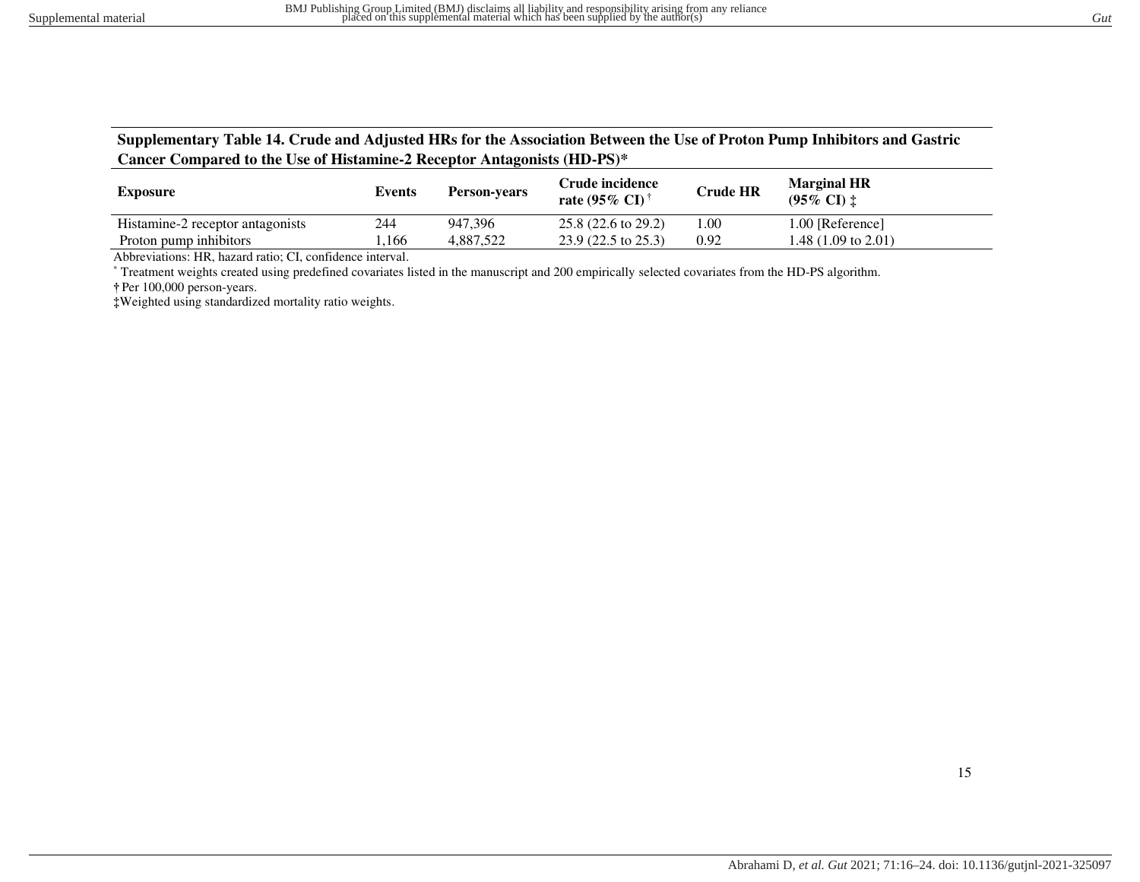## **Supplementary Table 14. Crude and Adjusted HRs for the Association Between the Use of Proton Pump Inhibitors and Gastric Cancer Compared to the Use of Histamine-2 Receptor Antagonists (HD-PS)\***

| <b>Exposure</b>                  | Events | <b>Person-vears</b> | Crude incidence<br>rate $(95\% \text{ CI})$ | <b>Crude HR</b> | <b>Marginal HR</b><br>$(95\% \text{ CI})$ $\ddagger$ |
|----------------------------------|--------|---------------------|---------------------------------------------|-----------------|------------------------------------------------------|
| Histamine-2 receptor antagonists | 244    | 947.396             | $25.8(22.6 \text{ to } 29.2)$               | .00             | 1.00 [Reference]                                     |
| Proton pump inhibitors           | .166   | 4.887.522           | $23.9(22.5 \text{ to } 25.3)$               | 0.92            | 1.48 (1.09 to 2.01)                                  |

Abbreviations: HR, hazard ratio; CI, confidence interval.

\* Treatment weights created using predefined covariates listed in the manuscript and 200 empirically selected covariates from the HD-PS algorithm. **†** Per 100,000 person-years.

<span id="page-14-0"></span>**‡**Weighted using standardized mortality ratio weights.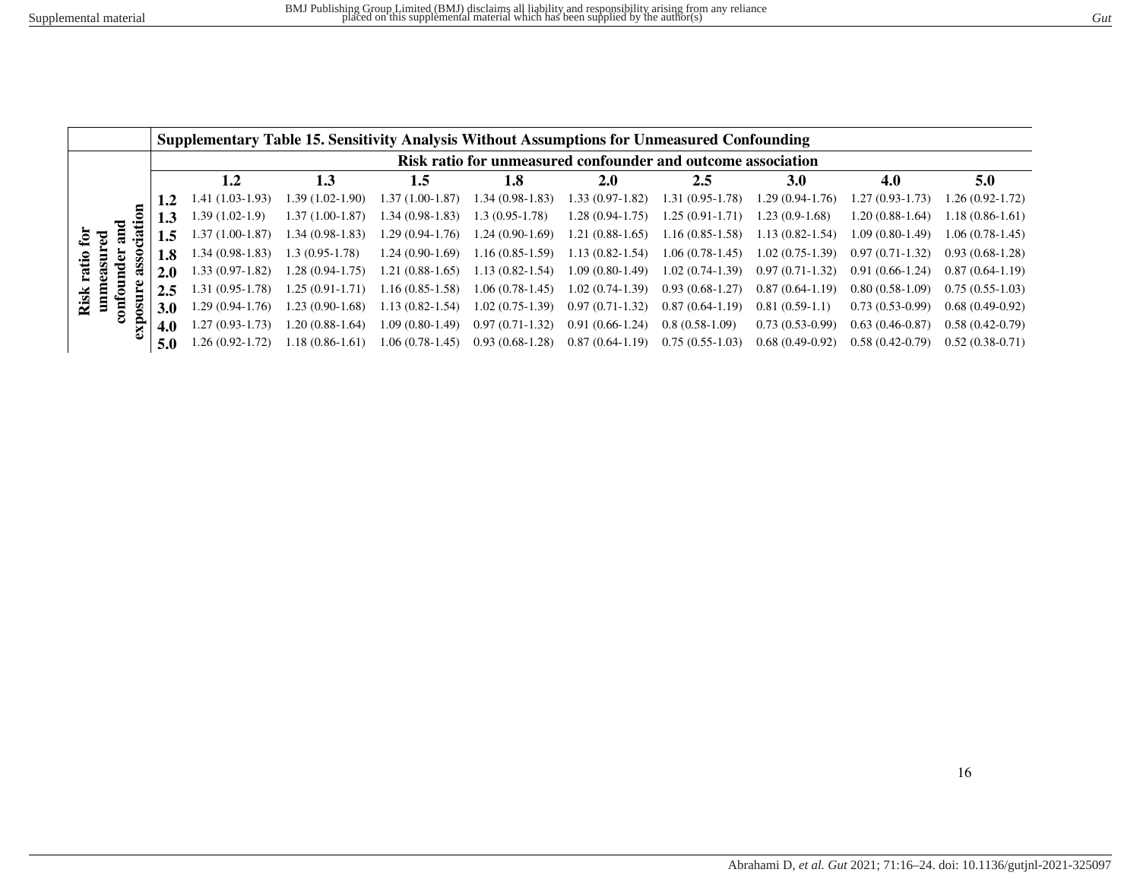<span id="page-15-0"></span>

|                       |            | Supplementary Table 15. Sensitivity Analysis Without Assumptions for Unmeasured Confounding |                   |                     |                   |                                     |                                                       |                   |                   |                   |  |  |  |
|-----------------------|------------|---------------------------------------------------------------------------------------------|-------------------|---------------------|-------------------|-------------------------------------|-------------------------------------------------------|-------------------|-------------------|-------------------|--|--|--|
|                       |            | Risk ratio for unmeasured confounder and outcome association                                |                   |                     |                   |                                     |                                                       |                   |                   |                   |  |  |  |
|                       |            | 1.2                                                                                         | 1.3               | 1.5                 | 1.8               | 2.0                                 | 2.5                                                   | 3.0               | 4.0               | 5.0               |  |  |  |
|                       |            | 1.41 (1.03-1.93)                                                                            | 1.39 (1.02-1.90)  | $1.37(1.00-1.87)$   | $1.34(0.98-1.83)$ | $1.33(0.97-1.82)$                   | $1.31(0.95-1.78)$                                     | $1.29(0.94-1.76)$ | $1.27(0.93-1.73)$ | $1.26(0.92-1.72)$ |  |  |  |
| ರ                     | 1.3        | $1.39(1.02-1.9)$                                                                            | $1.37(1.00-1.87)$ | $1.34(0.98-1.83)$   | $1.3(0.95-1.78)$  | $1.28(0.94-1.75)$                   | $1.25(0.91-1.71)$                                     | $1.23(0.9-1.68)$  | $1.20(0.88-1.64)$ | $1.18(0.86-1.61)$ |  |  |  |
| ڡ                     |            | $1.37(1.00-1.87)$                                                                           | $1.34(0.98-1.83)$ | $1.29(0.94-1.76)$   | $1.24(0.90-1.69)$ | $1.21(0.88-1.65)$                   | $1.16(0.85-1.58)$ $1.13(0.82-1.54)$                   |                   | $1.09(0.80-1.49)$ | $1.06(0.78-1.45)$ |  |  |  |
|                       | 1.8        | $1.34(0.98-1.83)$                                                                           | $1.3(0.95-1.78)$  | $1.24(0.90-1.69)$   | $1.16(0.85-1.59)$ | $1.13(0.82 - 1.54)$                 | $1.06(0.78-1.45)$                                     | $1.02(0.75-1.39)$ | $0.97(0.71-1.32)$ | $0.93(0.68-1.28)$ |  |  |  |
| π                     | <b>2.0</b> | $1.33(0.97-1.82)$                                                                           | $1.28(0.94-1.75)$ | $1.21(0.88-1.65)$   |                   | $1.13(0.82-1.54)$ $1.09(0.80-1.49)$ | $1.02(0.74-1.39)$ $0.97(0.71-1.32)$                   |                   | $0.91(0.66-1.24)$ | $0.87(0.64-1.19)$ |  |  |  |
|                       | 2.5        | $1.31(0.95-1.78)$                                                                           | $1.25(0.91-1.71)$ | $1.16(0.85-1.58)$   | $1.06(0.78-1.45)$ |                                     | $1.02(0.74-1.39)$ $0.93(0.68-1.27)$ $0.87(0.64-1.19)$ |                   | $0.80(0.58-1.09)$ | $0.75(0.55-1.03)$ |  |  |  |
| Risk<br>$\frac{1}{2}$ | <b>3.0</b> | $1.29(0.94-1.76)$                                                                           | $1.23(0.90-1.68)$ | $1.13(0.82 - 1.54)$ | $1.02(0.75-1.39)$ | $0.97(0.71-1.32)$                   | $0.87(0.64-1.19)$                                     | $0.81(0.59-1.1)$  | $0.73(0.53-0.99)$ | $0.68(0.49-0.92)$ |  |  |  |
|                       | 4.0        | $1.27(0.93-1.73)$                                                                           | $1.20(0.88-1.64)$ | $1.09(0.80-1.49)$   | $0.97(0.71-1.32)$ | $0.91(0.66-1.24)$ 0.8 (0.58-1.09)   |                                                       | $0.73(0.53-0.99)$ | $0.63(0.46-0.87)$ | $0.58(0.42-0.79)$ |  |  |  |
|                       | 5.0        | $1.26(0.92 - 1.72)$                                                                         | $1.18(0.86-1.61)$ | $1.06(0.78-1.45)$   | $0.93(0.68-1.28)$ |                                     | $0.87(0.64-1.19)$ $0.75(0.55-1.03)$                   | $0.68(0.49-0.92)$ | $0.58(0.42-0.79)$ | $0.52(0.38-0.71)$ |  |  |  |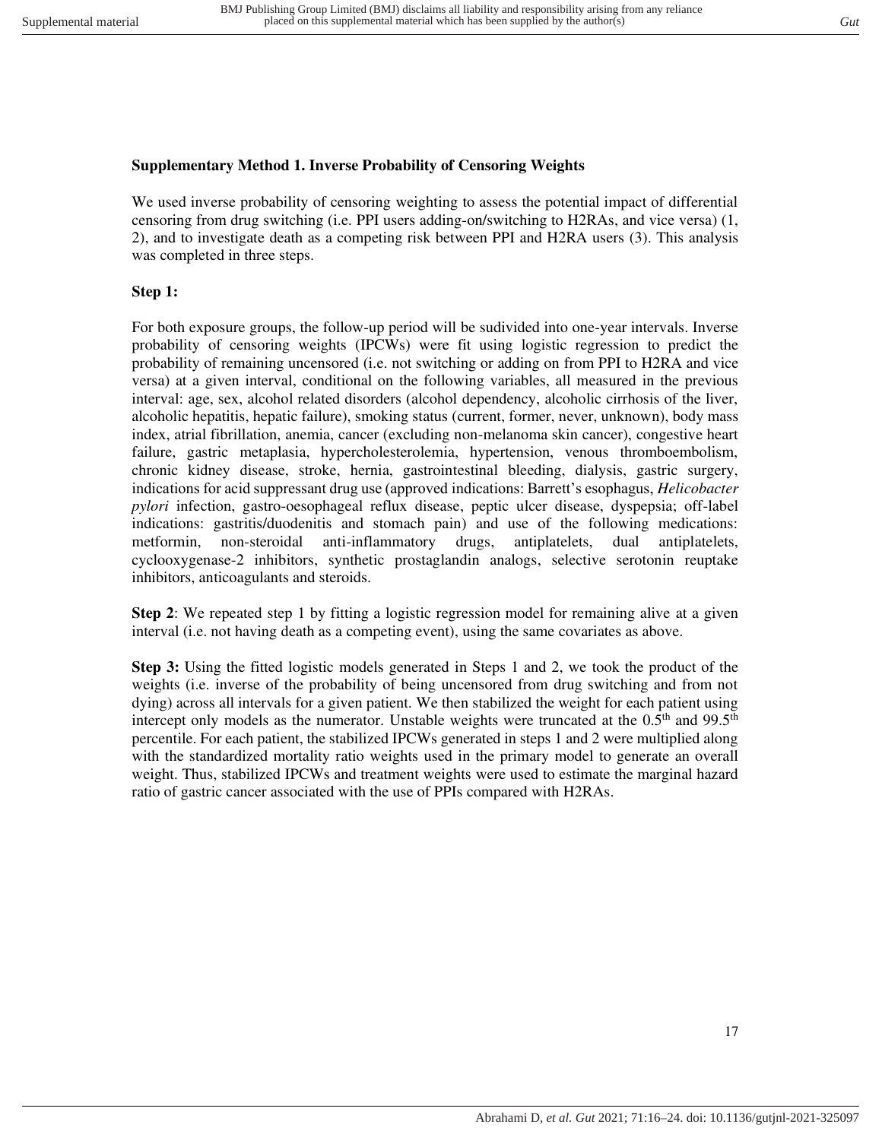# <span id="page-16-0"></span>**Supplementary Method 1. Inverse Probability of Censoring Weights**

We used inverse probability of censoring weighting to assess the potential impact of differential censoring from drug switching (i.e. PPI users adding-on/switching to H2RAs, and vice versa) (1, 2), and to investigate death as a competing risk between PPI and H2RA users (3). This analysis was completed in three steps.

# **Step 1:**

For both exposure groups, the follow-up period will be sudivided into one-year intervals. Inverse probability of censoring weights (IPCWs) were fit using logistic regression to predict the probability of remaining uncensored (i.e. not switching or adding on from PPI to H2RA and vice versa) at a given interval, conditional on the following variables, all measured in the previous interval: age, sex, alcohol related disorders (alcohol dependency, alcoholic cirrhosis of the liver, alcoholic hepatitis, hepatic failure), smoking status (current, former, never, unknown), body mass index, atrial fibrillation, anemia, cancer (excluding non-melanoma skin cancer), congestive heart failure, gastric metaplasia, hypercholesterolemia, hypertension, venous thromboembolism, chronic kidney disease, stroke, hernia, gastrointestinal bleeding, dialysis, gastric surgery, indications for acid suppressant drug use (approved indications: Barrett's esophagus, *Helicobacter pylori* infection, gastro-oesophageal reflux disease, peptic ulcer disease, dyspepsia; off-label indications: gastritis/duodenitis and stomach pain) and use of the following medications: metformin, non-steroidal anti-inflammatory drugs, antiplatelets, dual antiplatelets, cyclooxygenase-2 inhibitors, synthetic prostaglandin analogs, selective serotonin reuptake inhibitors, anticoagulants and steroids.

**Step 2**: We repeated step 1 by fitting a logistic regression model for remaining alive at a given interval (i.e. not having death as a competing event), using the same covariates as above.

**Step 3:** Using the fitted logistic models generated in Steps 1 and 2, we took the product of the weights (i.e. inverse of the probability of being uncensored from drug switching and from not dying) across all intervals for a given patient. We then stabilized the weight for each patient using intercept only models as the numerator. Unstable weights were truncated at the 0.5<sup>th</sup> and 99.5<sup>th</sup> percentile. For each patient, the stabilized IPCWs generated in steps 1 and 2 were multiplied along with the standardized mortality ratio weights used in the primary model to generate an overall weight. Thus, stabilized IPCWs and treatment weights were used to estimate the marginal hazard ratio of gastric cancer associated with the use of PPIs compared with H2RAs.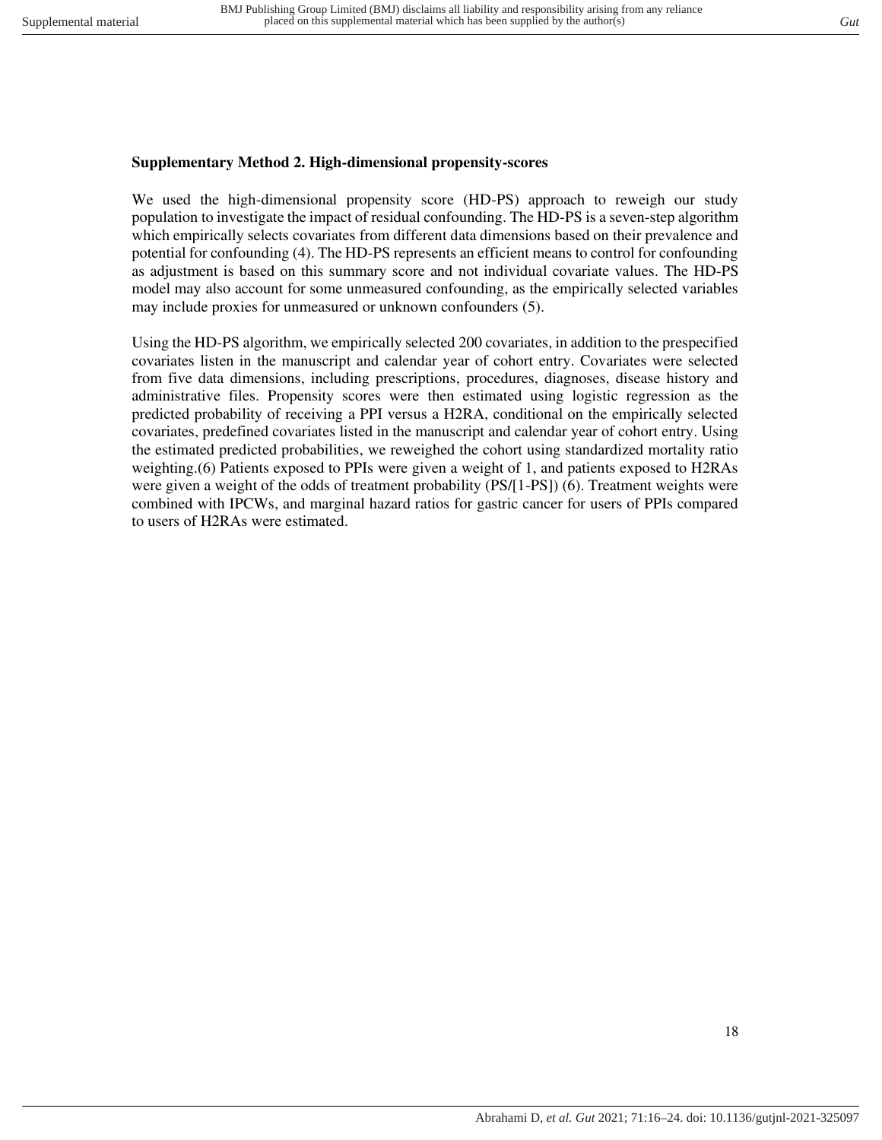# <span id="page-17-0"></span>**Supplementary Method 2. High-dimensional propensity-scores**

We used the high-dimensional propensity score (HD-PS) approach to reweigh our study population to investigate the impact of residual confounding. The HD-PS is a seven-step algorithm which empirically selects covariates from different data dimensions based on their prevalence and potential for confounding (4). The HD-PS represents an efficient means to control for confounding as adjustment is based on this summary score and not individual covariate values. The HD-PS model may also account for some unmeasured confounding, as the empirically selected variables may include proxies for unmeasured or unknown confounders (5).

Using the HD-PS algorithm, we empirically selected 200 covariates, in addition to the prespecified covariates listen in the manuscript and calendar year of cohort entry. Covariates were selected from five data dimensions, including prescriptions, procedures, diagnoses, disease history and administrative files. Propensity scores were then estimated using logistic regression as the predicted probability of receiving a PPI versus a H2RA, conditional on the empirically selected covariates, predefined covariates listed in the manuscript and calendar year of cohort entry. Using the estimated predicted probabilities, we reweighed the cohort using standardized mortality ratio weighting.(6) Patients exposed to PPIs were given a weight of 1, and patients exposed to H2RAs were given a weight of the odds of treatment probability (PS/[1-PS]) (6). Treatment weights were combined with IPCWs, and marginal hazard ratios for gastric cancer for users of PPIs compared to users of H2RAs were estimated.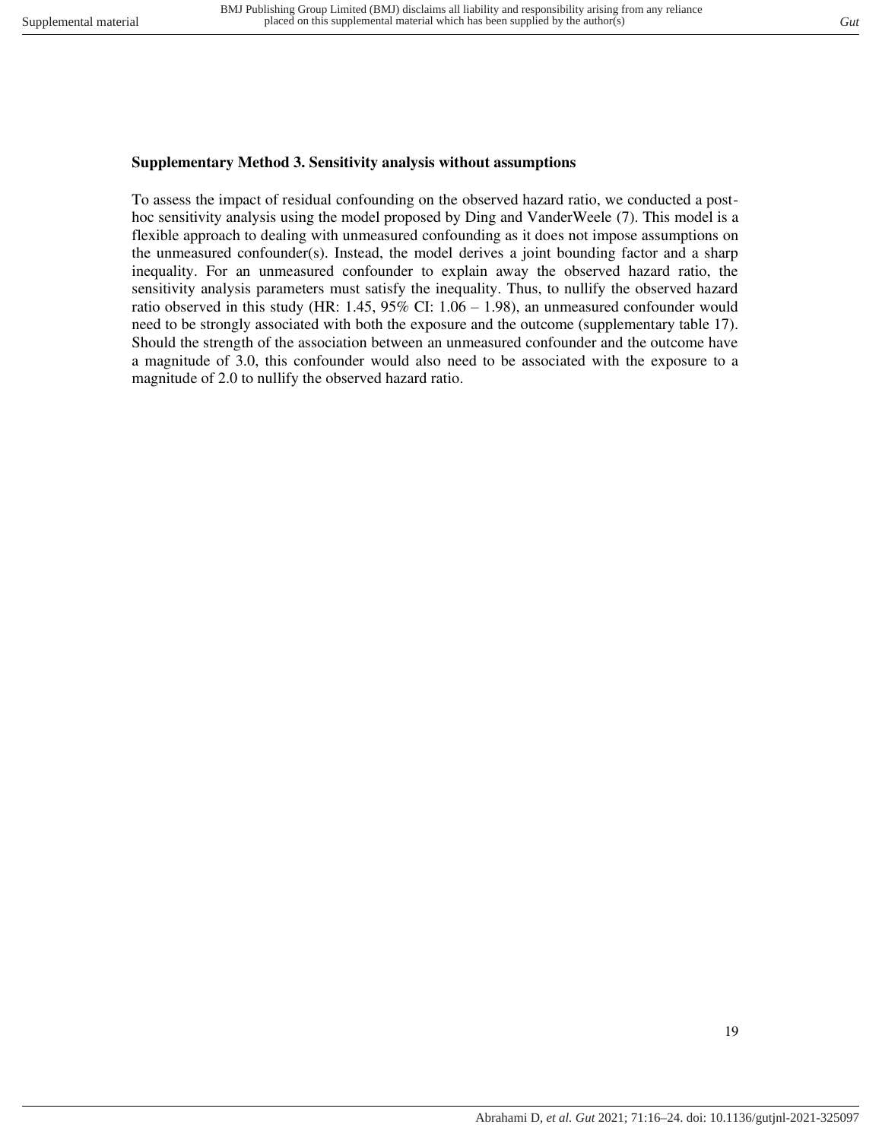## <span id="page-18-0"></span>**Supplementary Method 3. Sensitivity analysis without assumptions**

To assess the impact of residual confounding on the observed hazard ratio, we conducted a posthoc sensitivity analysis using the model proposed by Ding and VanderWeele (7). This model is a flexible approach to dealing with unmeasured confounding as it does not impose assumptions on the unmeasured confounder(s). Instead, the model derives a joint bounding factor and a sharp inequality. For an unmeasured confounder to explain away the observed hazard ratio, the sensitivity analysis parameters must satisfy the inequality. Thus, to nullify the observed hazard ratio observed in this study (HR:  $1.45$ ,  $95\%$  CI:  $1.06 - 1.98$ ), an unmeasured confounder would need to be strongly associated with both the exposure and the outcome (supplementary table 17). Should the strength of the association between an unmeasured confounder and the outcome have a magnitude of 3.0, this confounder would also need to be associated with the exposure to a magnitude of 2.0 to nullify the observed hazard ratio.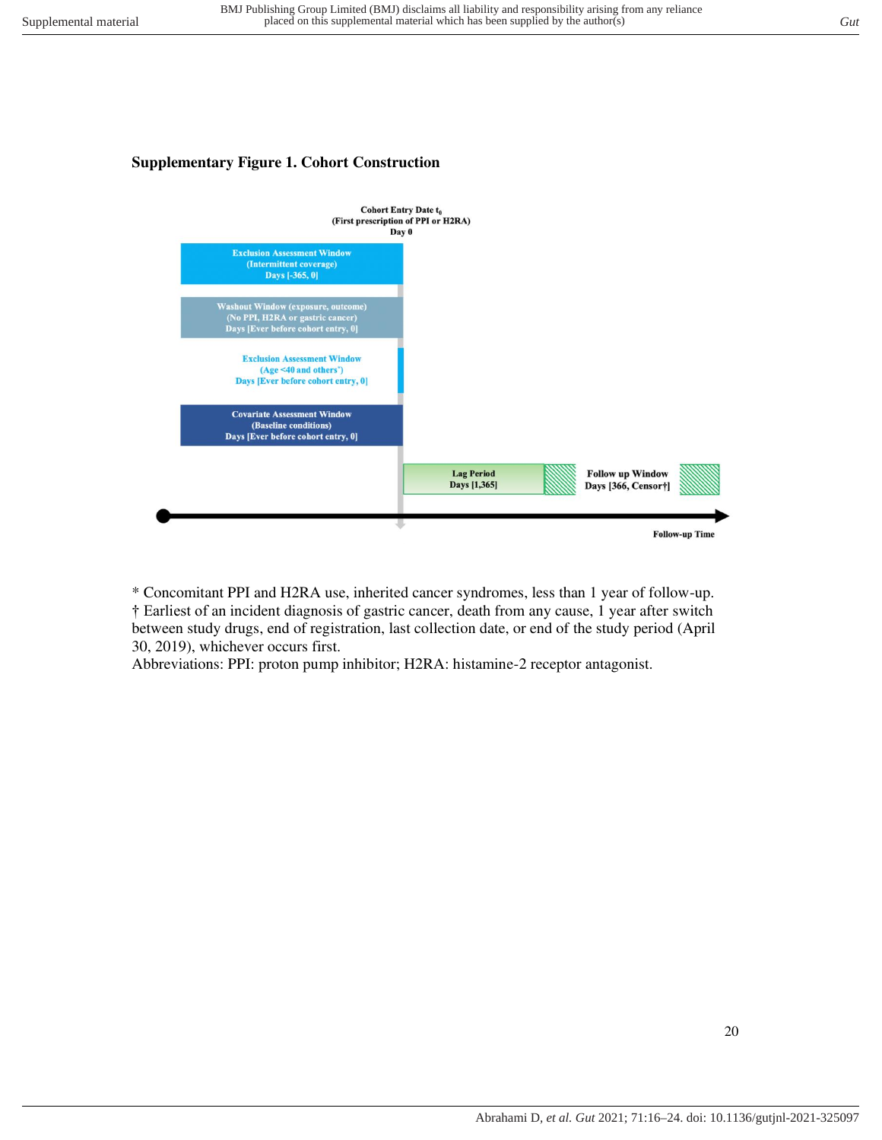## <span id="page-19-0"></span>**Supplementary Figure 1. Cohort Construction**



\* Concomitant PPI and H2RA use, inherited cancer syndromes, less than 1 year of follow-up. † Earliest of an incident diagnosis of gastric cancer, death from any cause, 1 year after switch between study drugs, end of registration, last collection date, or end of the study period (April 30, 2019), whichever occurs first.

Abbreviations: PPI: proton pump inhibitor; H2RA: histamine-2 receptor antagonist.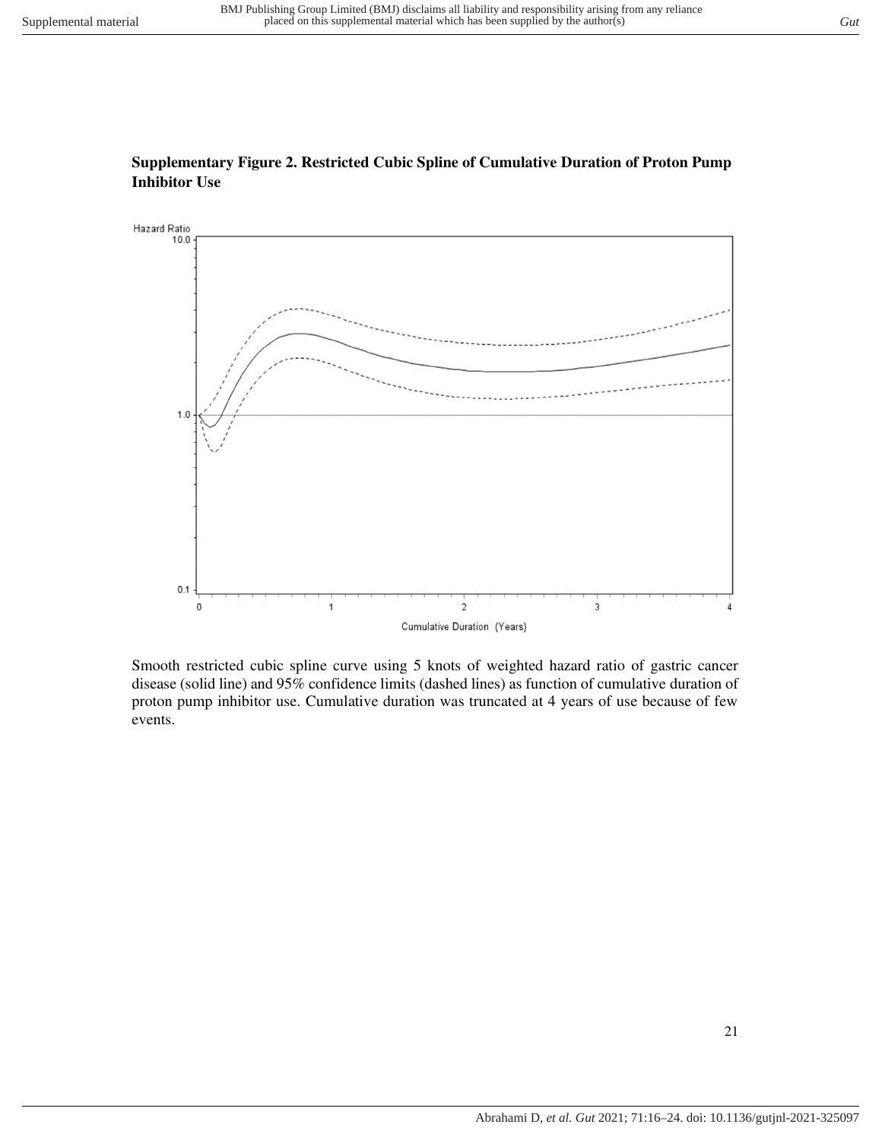

## <span id="page-20-0"></span>**Supplementary Figure 2. Restricted Cubic Spline of Cumulative Duration of Proton Pump Inhibitor Use**

Smooth restricted cubic spline curve using 5 knots of weighted hazard ratio of gastric cancer disease (solid line) and 95% confidence limits (dashed lines) as function of cumulative duration of proton pump inhibitor use. Cumulative duration was truncated at 4 years of use because of few events.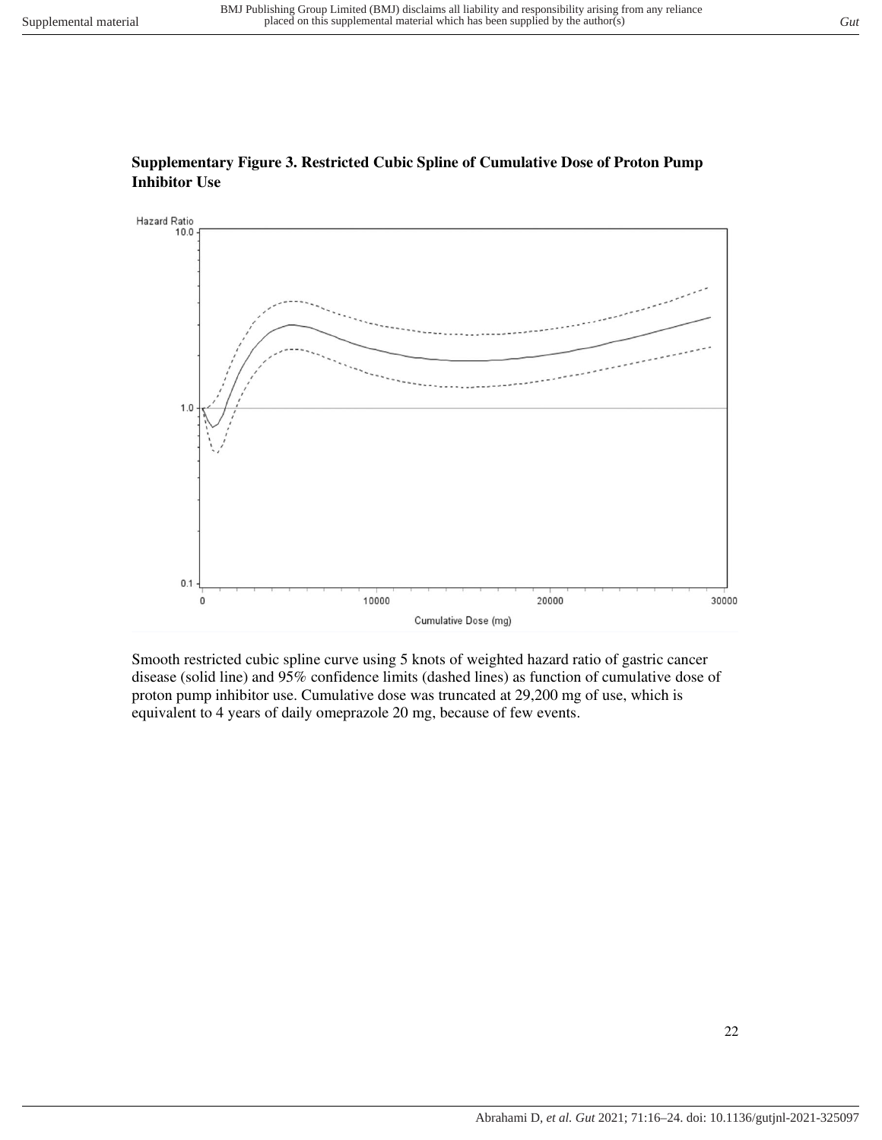

# <span id="page-21-0"></span>**Supplementary Figure 3. Restricted Cubic Spline of Cumulative Dose of Proton Pump Inhibitor Use**

Smooth restricted cubic spline curve using 5 knots of weighted hazard ratio of gastric cancer disease (solid line) and 95% confidence limits (dashed lines) as function of cumulative dose of proton pump inhibitor use. Cumulative dose was truncated at 29,200 mg of use, which is equivalent to 4 years of daily omeprazole 20 mg, because of few events.